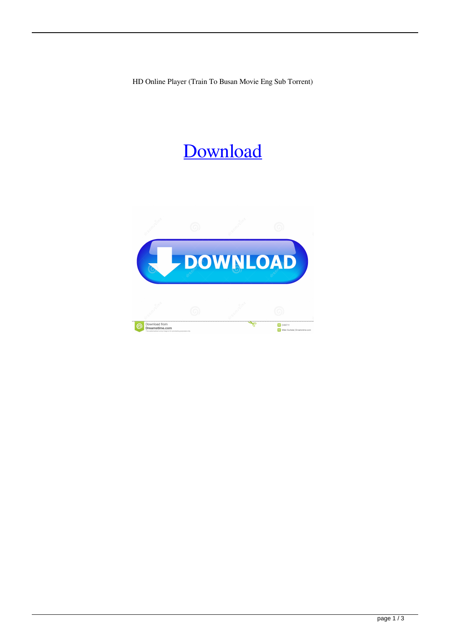HD Online Player (Train To Busan Movie Eng Sub Torrent)

## [Download](http://evacdir.com/about/branches/SEQgT25saW5lIFBsYXllciAoVHJhaW4gVG8gQnVzYW4gbW92aWUgZW5nIHN1YiB0b3JyZW50KQSEQ/clairify&ZG93bmxvYWR8UEM0ZVRCeWZId3hOalV5TnpRd09EWTJmSHd5TlRjMGZId29UU2tnY21WaFpDMWliRzluSUZ0R1lYTjBJRWRGVGww/equality.newsreleases.scubadiver)

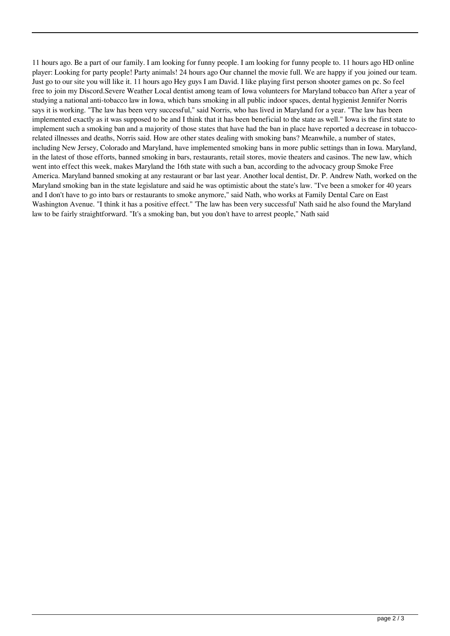11 hours ago. Be a part of our family. I am looking for funny people. I am looking for funny people to. 11 hours ago HD online player: Looking for party people! Party animals! 24 hours ago Our channel the movie full. We are happy if you joined our team. Just go to our site you will like it. 11 hours ago Hey guys I am David. I like playing first person shooter games on pc. So feel free to join my Discord.Severe Weather Local dentist among team of Iowa volunteers for Maryland tobacco ban After a year of studying a national anti-tobacco law in Iowa, which bans smoking in all public indoor spaces, dental hygienist Jennifer Norris says it is working. "The law has been very successful," said Norris, who has lived in Maryland for a year. "The law has been implemented exactly as it was supposed to be and I think that it has been beneficial to the state as well." Iowa is the first state to implement such a smoking ban and a majority of those states that have had the ban in place have reported a decrease in tobaccorelated illnesses and deaths, Norris said. How are other states dealing with smoking bans? Meanwhile, a number of states, including New Jersey, Colorado and Maryland, have implemented smoking bans in more public settings than in Iowa. Maryland, in the latest of those efforts, banned smoking in bars, restaurants, retail stores, movie theaters and casinos. The new law, which went into effect this week, makes Maryland the 16th state with such a ban, according to the advocacy group Smoke Free America. Maryland banned smoking at any restaurant or bar last year. Another local dentist, Dr. P. Andrew Nath, worked on the Maryland smoking ban in the state legislature and said he was optimistic about the state's law. "I've been a smoker for 40 years and I don't have to go into bars or restaurants to smoke anymore," said Nath, who works at Family Dental Care on East Washington Avenue. "I think it has a positive effect." 'The law has been very successful' Nath said he also found the Maryland law to be fairly straightforward. "It's a smoking ban, but you don't have to arrest people," Nath said